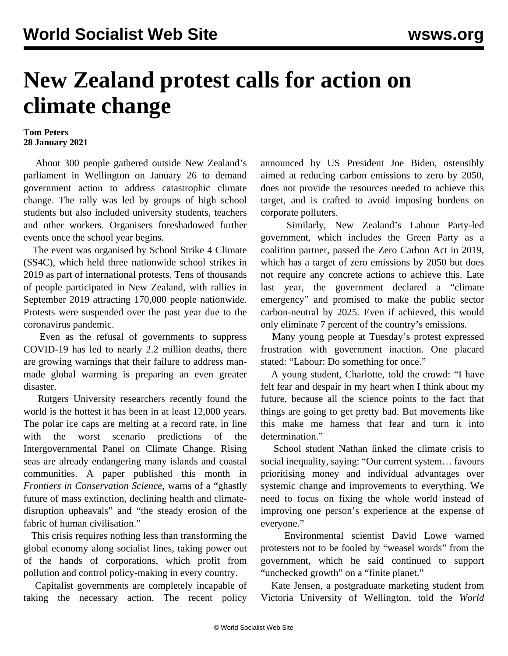## **New Zealand protest calls for action on climate change**

## **Tom Peters 28 January 2021**

 About 300 people gathered outside New Zealand's parliament in Wellington on January 26 to demand government action to address catastrophic climate change. The rally was led by groups of high school students but also included university students, teachers and other workers. Organisers foreshadowed further events once the school year begins.

 The event was organised by School Strike 4 Climate (SS4C), which held three nationwide school strikes in 2019 as part of international protests. Tens of thousands of people participated in New Zealand, [with rallies in](/en/articles/2019/09/28/nzcl-s28.html) [September 2019](/en/articles/2019/09/28/nzcl-s28.html) attracting 170,000 people nationwide. Protests were suspended over the past year due to the coronavirus pandemic.

 Even as the refusal of governments to suppress COVID-19 has led to nearly 2.2 million deaths, there are growing warnings that their failure to address manmade global warming is preparing an even greater disaster.

 Rutgers University researchers recently found the world is the hottest it has been in at least 12,000 years. The polar ice caps are melting at a record rate, in line with the worst scenario predictions of the Intergovernmental Panel on Climate Change. Rising seas are already endangering many islands and coastal communities. A paper published this month in *Frontiers in Conservation Science*, warns of a "ghastly future of mass extinction, declining health and climatedisruption upheavals" and "the steady erosion of the fabric of human civilisation."

 This crisis requires nothing less than transforming the global economy along socialist lines, taking power out of the hands of corporations, which profit from pollution and control policy-making in every country.

 Capitalist governments are completely incapable of taking the necessary action. The recent [policy](/en/articles/2021/01/27/clim-j27.html)

announced by US President Joe Biden, ostensibly aimed at reducing carbon emissions to zero by 2050, does not provide the resources needed to achieve this target, and is crafted to avoid imposing burdens on corporate polluters.

 Similarly, New Zealand's Labour Party-led government, which includes the Green Party as a coalition partner, passed the Zero Carbon Act in 2019, which has a target of zero emissions by 2050 but does not require any concrete actions to achieve this. Late last year, the government declared a "climate emergency" and promised to make the public sector carbon-neutral by 2025. Even if achieved, this would only eliminate 7 percent of the country's emissions.

 Many young people at Tuesday's protest expressed frustration with government inaction. One placard stated: "Labour: Do something for once."

 A young student, Charlotte, told the crowd: "I have felt fear and despair in my heart when I think about my future, because all the science points to the fact that things are going to get pretty bad. But movements like this make me harness that fear and turn it into determination."

 School student Nathan linked the climate crisis to social inequality, saying: "Our current system… favours prioritising money and individual advantages over systemic change and improvements to everything. We need to focus on fixing the whole world instead of improving one person's experience at the expense of everyone."

 Environmental scientist David Lowe warned protesters not to be fooled by "weasel words" from the government, which he said continued to support "unchecked growth" on a "finite planet."

 Kate Jensen, a postgraduate marketing student from Victoria University of Wellington, told the *World*